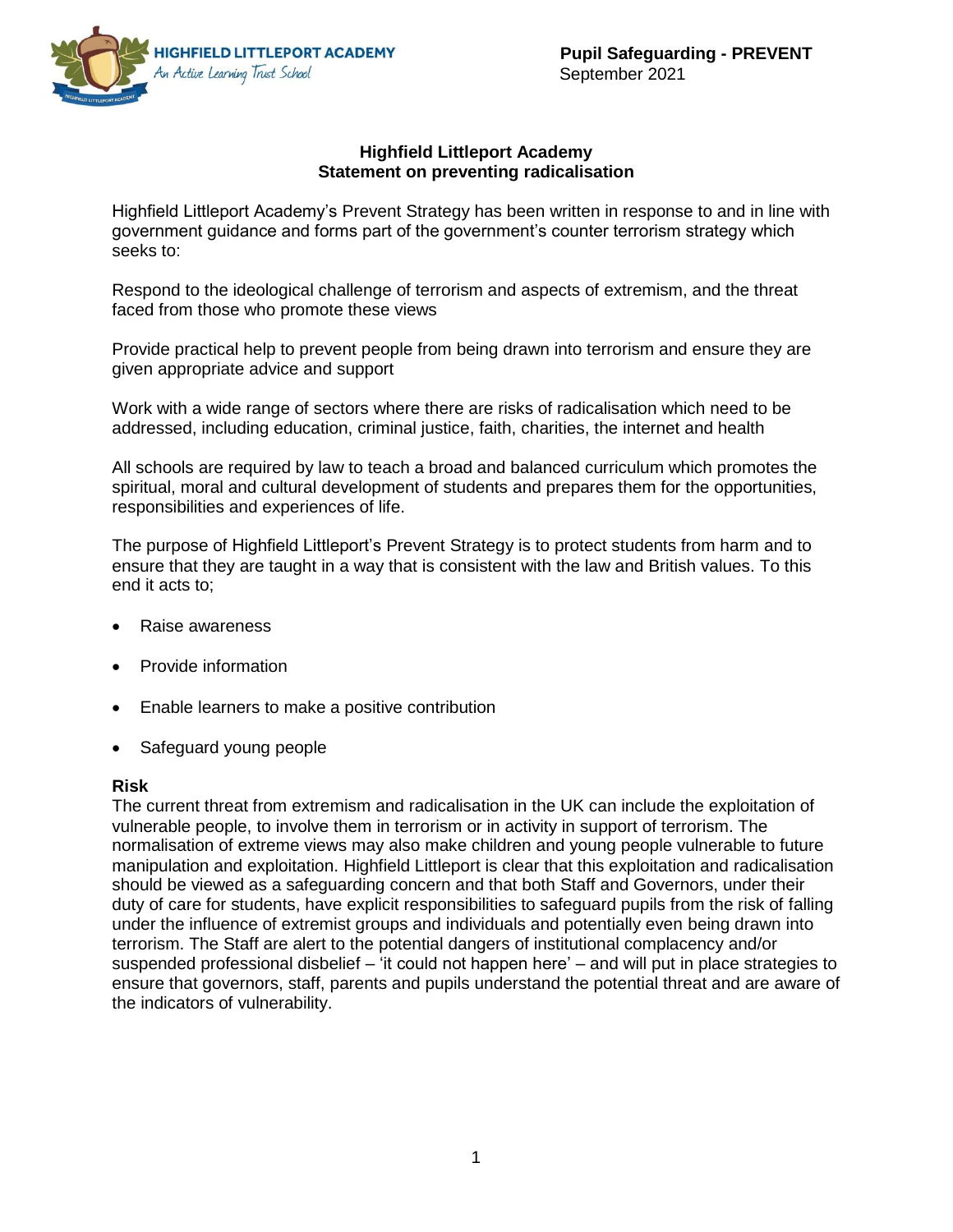

#### **Highfield Littleport Academy Statement on preventing radicalisation**

Highfield Littleport Academy's Prevent Strategy has been written in response to and in line with government guidance and forms part of the government's counter terrorism strategy which seeks to:

Respond to the ideological challenge of terrorism and aspects of extremism, and the threat faced from those who promote these views

Provide practical help to prevent people from being drawn into terrorism and ensure they are given appropriate advice and support

Work with a wide range of sectors where there are risks of radicalisation which need to be addressed, including education, criminal justice, faith, charities, the internet and health

All schools are required by law to teach a broad and balanced curriculum which promotes the spiritual, moral and cultural development of students and prepares them for the opportunities, responsibilities and experiences of life.

The purpose of Highfield Littleport's Prevent Strategy is to protect students from harm and to ensure that they are taught in a way that is consistent with the law and British values. To this end it acts to;

- Raise awareness
- Provide information
- Enable learners to make a positive contribution
- Safeguard young people

### **Risk**

The current threat from extremism and radicalisation in the UK can include the exploitation of vulnerable people, to involve them in terrorism or in activity in support of terrorism. The normalisation of extreme views may also make children and young people vulnerable to future manipulation and exploitation. Highfield Littleport is clear that this exploitation and radicalisation should be viewed as a safeguarding concern and that both Staff and Governors, under their duty of care for students, have explicit responsibilities to safeguard pupils from the risk of falling under the influence of extremist groups and individuals and potentially even being drawn into terrorism. The Staff are alert to the potential dangers of institutional complacency and/or suspended professional disbelief – 'it could not happen here' – and will put in place strategies to ensure that governors, staff, parents and pupils understand the potential threat and are aware of the indicators of vulnerability.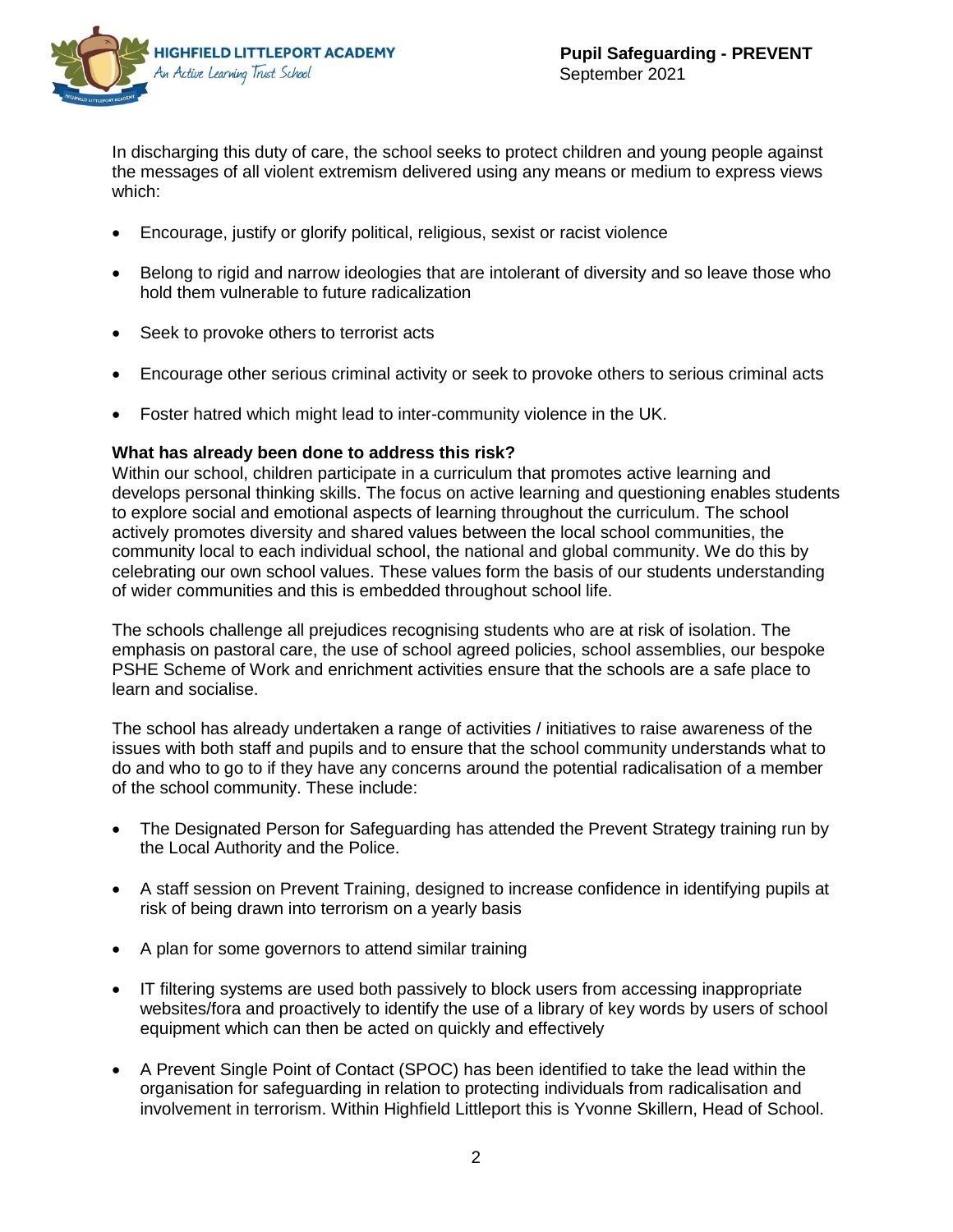

In discharging this duty of care, the school seeks to protect children and young people against the messages of all violent extremism delivered using any means or medium to express views which:

- Encourage, justify or glorify political, religious, sexist or racist violence
- Belong to rigid and narrow ideologies that are intolerant of diversity and so leave those who hold them vulnerable to future radicalization
- Seek to provoke others to terrorist acts
- Encourage other serious criminal activity or seek to provoke others to serious criminal acts
- Foster hatred which might lead to inter-community violence in the UK.

## **What has already been done to address this risk?**

Within our school, children participate in a curriculum that promotes active learning and develops personal thinking skills. The focus on active learning and questioning enables students to explore social and emotional aspects of learning throughout the curriculum. The school actively promotes diversity and shared values between the local school communities, the community local to each individual school, the national and global community. We do this by celebrating our own school values. These values form the basis of our students understanding of wider communities and this is embedded throughout school life.

The schools challenge all prejudices recognising students who are at risk of isolation. The emphasis on pastoral care, the use of school agreed policies, school assemblies, our bespoke PSHE Scheme of Work and enrichment activities ensure that the schools are a safe place to learn and socialise.

The school has already undertaken a range of activities / initiatives to raise awareness of the issues with both staff and pupils and to ensure that the school community understands what to do and who to go to if they have any concerns around the potential radicalisation of a member of the school community. These include:

- The Designated Person for Safeguarding has attended the Prevent Strategy training run by the Local Authority and the Police.
- A staff session on Prevent Training, designed to increase confidence in identifying pupils at risk of being drawn into terrorism on a yearly basis
- A plan for some governors to attend similar training
- IT filtering systems are used both passively to block users from accessing inappropriate websites/fora and proactively to identify the use of a library of key words by users of school equipment which can then be acted on quickly and effectively
- A Prevent Single Point of Contact (SPOC) has been identified to take the lead within the organisation for safeguarding in relation to protecting individuals from radicalisation and involvement in terrorism. Within Highfield Littleport this is Yvonne Skillern, Head of School.